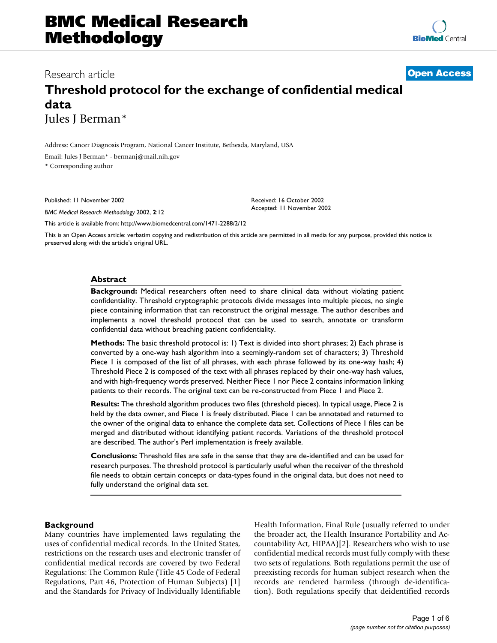# **BMC Medical Research Methodology**

## **Threshold protocol for the exchange of confidential medical data** Jules J Berman\*

Address: Cancer Diagnosis Program, National Cancer Institute, Bethesda, Maryland, USA

Email: Jules J Berman\* - bermanj@mail.nih.gov

\* Corresponding author

Published: 11 November 2002

*BMC Medical Research Methodology* 2002, **2**:12

[This article is available from: http://www.biomedcentral.com/1471-2288/2/12](http://www.biomedcentral.com/1471-2288/2/12)

This is an Open Access article: verbatim copying and redistribution of this article are permitted in all media for any purpose, provided this notice is preserved along with the article's original URL.

Received: 16 October 2002 Accepted: 11 November 2002

#### **Abstract**

**Background:** Medical researchers often need to share clinical data without violating patient confidentiality. Threshold cryptographic protocols divide messages into multiple pieces, no single piece containing information that can reconstruct the original message. The author describes and implements a novel threshold protocol that can be used to search, annotate or transform confidential data without breaching patient confidentiality.

**Methods:** The basic threshold protocol is: 1) Text is divided into short phrases; 2) Each phrase is converted by a one-way hash algorithm into a seemingly-random set of characters; 3) Threshold Piece 1 is composed of the list of all phrases, with each phrase followed by its one-way hash; 4) Threshold Piece 2 is composed of the text with all phrases replaced by their one-way hash values, and with high-frequency words preserved. Neither Piece 1 nor Piece 2 contains information linking patients to their records. The original text can be re-constructed from Piece 1 and Piece 2.

**Results:** The threshold algorithm produces two files (threshold pieces). In typical usage, Piece 2 is held by the data owner, and Piece 1 is freely distributed. Piece 1 can be annotated and returned to the owner of the original data to enhance the complete data set. Collections of Piece 1 files can be merged and distributed without identifying patient records. Variations of the threshold protocol are described. The author's Perl implementation is freely available.

**Conclusions:** Threshold files are safe in the sense that they are de-identified and can be used for research purposes. The threshold protocol is particularly useful when the receiver of the threshold file needs to obtain certain concepts or data-types found in the original data, but does not need to fully understand the original data set.

#### **Background**

Many countries have implemented laws regulating the uses of confidential medical records. In the United States, restrictions on the research uses and electronic transfer of confidential medical records are covered by two Federal Regulations: The Common Rule (Title 45 Code of Federal Regulations, Part 46, Protection of Human Subjects) [\[1\]](#page-5-0) and the Standards for Privacy of Individually Identifiable Health Information, Final Rule (usually referred to under the broader act, the Health Insurance Portability and Accountability Act, HIPAA)[[2](#page-5-1)]. Researchers who wish to use confidential medical records must fully comply with these two sets of regulations. Both regulations permit the use of preexisting records for human subject research when the records are rendered harmless (through de-identification). Both regulations specify that deidentified records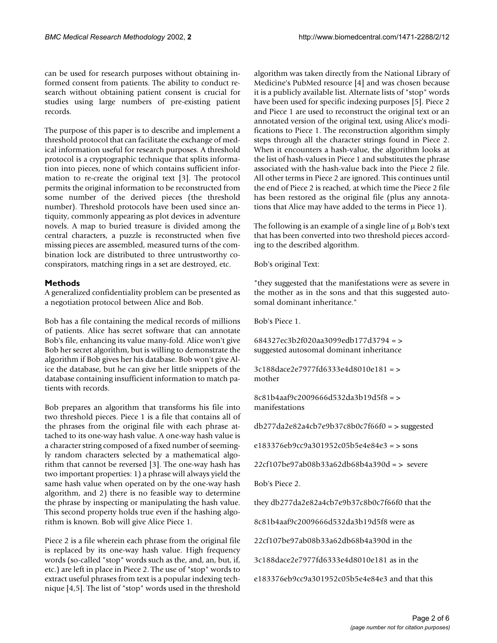can be used for research purposes without obtaining informed consent from patients. The ability to conduct research without obtaining patient consent is crucial for studies using large numbers of pre-existing patient records.

The purpose of this paper is to describe and implement a threshold protocol that can facilitate the exchange of medical information useful for research purposes. A threshold protocol is a cryptographic technique that splits information into pieces, none of which contains sufficient information to re-create the original text [3]. The protocol permits the original information to be reconstructed from some number of the derived pieces (the threshold number). Threshold protocols have been used since antiquity, commonly appearing as plot devices in adventure novels. A map to buried treasure is divided among the central characters, a puzzle is reconstructed when five missing pieces are assembled, measured turns of the combination lock are distributed to three untrustworthy coconspirators, matching rings in a set are destroyed, etc.

#### **Methods**

A generalized confidentiality problem can be presented as a negotiation protocol between Alice and Bob.

Bob has a file containing the medical records of millions of patients. Alice has secret software that can annotate Bob's file, enhancing its value many-fold. Alice won't give Bob her secret algorithm, but is willing to demonstrate the algorithm if Bob gives her his database. Bob won't give Alice the database, but he can give her little snippets of the database containing insufficient information to match patients with records.

Bob prepares an algorithm that transforms his file into two threshold pieces. Piece 1 is a file that contains all of the phrases from the original file with each phrase attached to its one-way hash value. A one-way hash value is a character string composed of a fixed number of seemingly random characters selected by a mathematical algorithm that cannot be reversed [3]. The one-way hash has two important properties: 1) a phrase will always yield the same hash value when operated on by the one-way hash algorithm, and 2) there is no feasible way to determine the phrase by inspecting or manipulating the hash value. This second property holds true even if the hashing algorithm is known. Bob will give Alice Piece 1.

Piece 2 is a file wherein each phrase from the original file is replaced by its one-way hash value. High frequency words (so-called "stop" words such as the, and, an, but, if, etc.) are left in place in Piece 2. The use of "stop" words to extract useful phrases from text is a popular indexing technique [4,5]. The list of "stop" words used in the threshold algorithm was taken directly from the National Library of Medicine's PubMed resource [4] and was chosen because it is a publicly available list. Alternate lists of "stop" words have been used for specific indexing purposes [5]. Piece 2 and Piece 1 are used to reconstruct the original text or an annotated version of the original text, using Alice's modifications to Piece 1. The reconstruction algorithm simply steps through all the character strings found in Piece 2. When it encounters a hash-value, the algorithm looks at the list of hash-values in Piece 1 and substitutes the phrase associated with the hash-value back into the Piece 2 file. All other terms in Piece 2 are ignored. This continues until the end of Piece 2 is reached, at which time the Piece 2 file has been restored as the original file (plus any annotations that Alice may have added to the terms in Piece 1).

The following is an example of a single line of  $\mu$  Bob's text that has been converted into two threshold pieces according to the described algorithm.

Bob's original Text:

"they suggested that the manifestations were as severe in the mother as in the sons and that this suggested autosomal dominant inheritance."

Bob's Piece 1.

684327ec3b2f020aa3099edb177d3794 = > suggested autosomal dominant inheritance

3c188dace2e7977fd6333e4d8010e181 = > mother

8c81b4aaf9c2009666d532da3b19d5f8 = > manifestations

db277da2e82a4cb7e9b37c8b0c7f66f0 = > suggested

e183376eb9cc9a301952c05b5e4e84e3 = > sons

22cf107be97ab08b33a62db68b4a390d = > severe

Bob's Piece 2.

they db277da2e82a4cb7e9b37c8b0c7f66f0 that the

8c81b4aaf9c2009666d532da3b19d5f8 were as

22cf107be97ab08b33a62db68b4a390d in the

3c188dace2e7977fd6333e4d8010e181 as in the

e183376eb9cc9a301952c05b5e4e84e3 and that this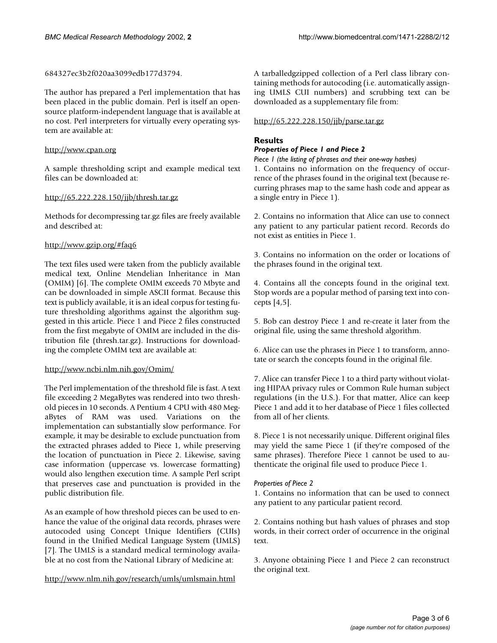#### 684327ec3b2f020aa3099edb177d3794.

The author has prepared a Perl implementation that has been placed in the public domain. Perl is itself an opensource platform-independent language that is available at no cost. Perl interpreters for virtually every operating system are available at:

#### http://www.cpan.org

A sample thresholding script and example medical text files can be downloaded at:

#### http://65.222.228.150/jjb/thresh.tar.gz

Methods for decompressing tar.gz files are freely available and described at:

#### http://www.gzip.org/#faq6

The text files used were taken from the publicly available medical text, Online Mendelian Inheritance in Man (OMIM) [6]. The complete OMIM exceeds 70 Mbyte and can be downloaded in simple ASCII format. Because this text is publicly available, it is an ideal corpus for testing future thresholding algorithms against the algorithm suggested in this article. Piece 1 and Piece 2 files constructed from the first megabyte of OMIM are included in the distribution file (thresh.tar.gz). Instructions for downloading the complete OMIM text are available at:

#### http://www.ncbi.nlm.nih.gov/Omim/

The Perl implementation of the threshold file is fast. A text file exceeding 2 MegaBytes was rendered into two threshold pieces in 10 seconds. A Pentium 4 CPU with 480 MegaBytes of RAM was used. Variations on the implementation can substantially slow performance. For example, it may be desirable to exclude punctuation from the extracted phrases added to Piece 1, while preserving the location of punctuation in Piece 2. Likewise, saving case information (uppercase vs. lowercase formatting) would also lengthen execution time. A sample Perl script that preserves case and punctuation is provided in the public distribution file.

As an example of how threshold pieces can be used to enhance the value of the original data records, phrases were autocoded using Concept Unique Identifiers (CUIs) found in the Unified Medical Language System (UMLS) [7]. The UMLS is a standard medical terminology available at no cost from the National Library of Medicine at:

http://www.nlm.nih.gov/research/umls/umlsmain.html

A tarballedgzipped collection of a Perl class library containing methods for autocoding (i.e. automatically assigning UMLS CUI numbers) and scrubbing text can be downloaded as a supplementary file from:

#### http://65.222.228.150/jjb/parse.tar.gz

#### **Results**

#### *Properties of Piece 1 and Piece 2*

*Piece 1 (the listing of phrases and their one-way hashes)*

1. Contains no information on the frequency of occurrence of the phrases found in the original text (because recurring phrases map to the same hash code and appear as a single entry in Piece 1).

2. Contains no information that Alice can use to connect any patient to any particular patient record. Records do not exist as entities in Piece 1.

3. Contains no information on the order or locations of the phrases found in the original text.

4. Contains all the concepts found in the original text. Stop words are a popular method of parsing text into concepts [4,5].

5. Bob can destroy Piece 1 and re-create it later from the original file, using the same threshold algorithm.

6. Alice can use the phrases in Piece 1 to transform, annotate or search the concepts found in the original file.

7. Alice can transfer Piece 1 to a third party without violating HIPAA privacy rules or Common Rule human subject regulations (in the U.S.). For that matter, Alice can keep Piece 1 and add it to her database of Piece 1 files collected from all of her clients.

8. Piece 1 is not necessarily unique. Different original files may yield the same Piece 1 (if they're composed of the same phrases). Therefore Piece 1 cannot be used to authenticate the original file used to produce Piece 1.

#### *Properties of Piece 2*

1. Contains no information that can be used to connect any patient to any particular patient record.

2. Contains nothing but hash values of phrases and stop words, in their correct order of occurrence in the original text.

3. Anyone obtaining Piece 1 and Piece 2 can reconstruct the original text.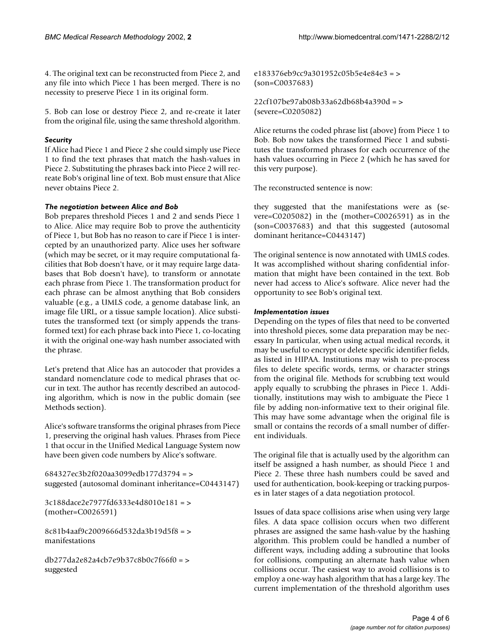4. The original text can be reconstructed from Piece 2, and any file into which Piece 1 has been merged. There is no necessity to preserve Piece 1 in its original form.

5. Bob can lose or destroy Piece 2, and re-create it later from the original file, using the same threshold algorithm.

#### *Security*

If Alice had Piece 1 and Piece 2 she could simply use Piece 1 to find the text phrases that match the hash-values in Piece 2. Substituting the phrases back into Piece 2 will recreate Bob's original line of text. Bob must ensure that Alice never obtains Piece 2.

#### *The negotiation between Alice and Bob*

Bob prepares threshold Pieces 1 and 2 and sends Piece 1 to Alice. Alice may require Bob to prove the authenticity of Piece 1, but Bob has no reason to care if Piece 1 is intercepted by an unauthorized party. Alice uses her software (which may be secret, or it may require computational facilities that Bob doesn't have, or it may require large databases that Bob doesn't have), to transform or annotate each phrase from Piece 1. The transformation product for each phrase can be almost anything that Bob considers valuable (e.g., a UMLS code, a genome database link, an image file URL, or a tissue sample location). Alice substitutes the transformed text (or simply appends the transformed text) for each phrase back into Piece 1, co-locating it with the original one-way hash number associated with the phrase.

Let's pretend that Alice has an autocoder that provides a standard nomenclature code to medical phrases that occur in text. The author has recently described an autocoding algorithm, which is now in the public domain (see Methods section).

Alice's software transforms the original phrases from Piece 1, preserving the original hash values. Phrases from Piece 1 that occur in the Unified Medical Language System now have been given code numbers by Alice's software.

684327ec3b2f020aa3099edb177d3794 = > suggested (autosomal dominant inheritance=C0443147)

3c188dace2e7977fd6333e4d8010e181 = > (mother=C0026591)

8c81b4aaf9c2009666d532da3b19d5f8 = > manifestations

db277da2e82a4cb7e9b37c8b0c7f66f0 = > suggested

e183376eb9cc9a301952c05b5e4e84e3 = > (son=C0037683)

22cf107be97ab08b33a62db68b4a390d = > (severe=C0205082)

Alice returns the coded phrase list (above) from Piece 1 to Bob. Bob now takes the transformed Piece 1 and substitutes the transformed phrases for each occurrence of the hash values occurring in Piece 2 (which he has saved for this very purpose).

The reconstructed sentence is now:

they suggested that the manifestations were as (severe=C0205082) in the (mother=C0026591) as in the (son=C0037683) and that this suggested (autosomal dominant heritance=C0443147)

The original sentence is now annotated with UMLS codes. It was accomplished without sharing confidential information that might have been contained in the text. Bob never had access to Alice's software. Alice never had the opportunity to see Bob's original text.

#### *Implementation issues*

Depending on the types of files that need to be converted into threshold pieces, some data preparation may be necessary In particular, when using actual medical records, it may be useful to encrypt or delete specific identifier fields, as listed in HIPAA. Institutions may wish to pre-process files to delete specific words, terms, or character strings from the original file. Methods for scrubbing text would apply equally to scrubbing the phrases in Piece 1. Additionally, institutions may wish to ambiguate the Piece 1 file by adding non-informative text to their original file. This may have some advantage when the original file is small or contains the records of a small number of different individuals.

The original file that is actually used by the algorithm can itself be assigned a hash number, as should Piece 1 and Piece 2. These three hash numbers could be saved and used for authentication, book-keeping or tracking purposes in later stages of a data negotiation protocol.

Issues of data space collisions arise when using very large files. A data space collision occurs when two different phrases are assigned the same hash-value by the hashing algorithm. This problem could be handled a number of different ways, including adding a subroutine that looks for collisions, computing an alternate hash value when collisions occur. The easiest way to avoid collisions is to employ a one-way hash algorithm that has a large key. The current implementation of the threshold algorithm uses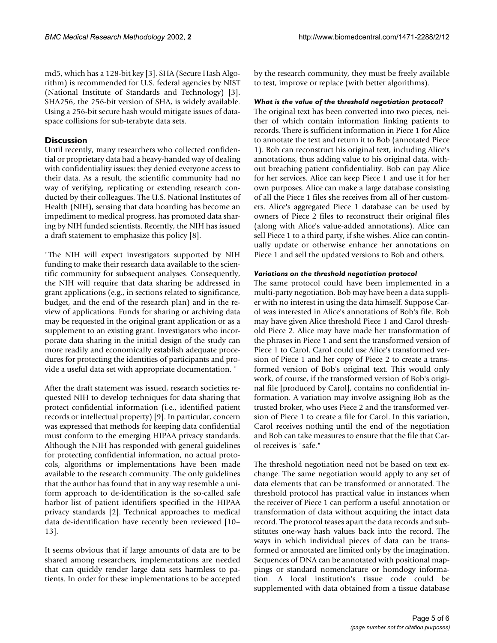md5, which has a 128-bit key [3]. SHA (Secure Hash Algorithm) is recommended for U.S. federal agencies by NIST (National Institute of Standards and Technology) [3]. SHA256, the 256-bit version of SHA, is widely available. Using a 256-bit secure hash would mitigate issues of dataspace collisions for sub-terabyte data sets.

### **Discussion**

Until recently, many researchers who collected confidential or proprietary data had a heavy-handed way of dealing with confidentiality issues: they denied everyone access to their data. As a result, the scientific community had no way of verifying, replicating or extending research conducted by their colleagues. The U.S. National Institutes of Health (NIH), sensing that data hoarding has become an impediment to medical progress, has promoted data sharing by NIH funded scientists. Recently, the NIH has issued a draft statement to emphasize this policy [8].

"The NIH will expect investigators supported by NIH funding to make their research data available to the scientific community for subsequent analyses. Consequently, the NIH will require that data sharing be addressed in grant applications (e.g., in sections related to significance, budget, and the end of the research plan) and in the review of applications. Funds for sharing or archiving data may be requested in the original grant application or as a supplement to an existing grant. Investigators who incorporate data sharing in the initial design of the study can more readily and economically establish adequate procedures for protecting the identities of participants and provide a useful data set with appropriate documentation. "

After the draft statement was issued, research societies requested NIH to develop techniques for data sharing that protect confidential information (i.e., identified patient records or intellectual property) [9]. In particular, concern was expressed that methods for keeping data confidential must conform to the emerging HIPAA privacy standards. Although the NIH has responded with general guidelines for protecting confidential information, no actual protocols, algorithms or implementations have been made available to the research community. The only guidelines that the author has found that in any way resemble a uniform approach to de-identification is the so-called safe harbor list of patient identifiers specified in the HIPAA privacy standards [[2](#page-5-1)]. Technical approaches to medical data de-identification have recently been reviewed [10– 13].

It seems obvious that if large amounts of data are to be shared among researchers, implementations are needed that can quickly render large data sets harmless to patients. In order for these implementations to be accepted by the research community, they must be freely available to test, improve or replace (with better algorithms).

#### *What is the value of the threshold negotiation protocol?*

The original text has been converted into two pieces, neither of which contain information linking patients to records. There is sufficient information in Piece 1 for Alice to annotate the text and return it to Bob (annotated Piece 1). Bob can reconstruct his original text, including Alice's annotations, thus adding value to his original data, without breaching patient confidentiality. Bob can pay Alice for her services. Alice can keep Piece 1 and use it for her own purposes. Alice can make a large database consisting of all the Piece 1 files she receives from all of her customers. Alice's aggregated Piece 1 database can be used by owners of Piece 2 files to reconstruct their original files (along with Alice's value-added annotations). Alice can sell Piece 1 to a third party, if she wishes. Alice can continually update or otherwise enhance her annotations on Piece 1 and sell the updated versions to Bob and others.

#### *Variations on the threshold negotiation protocol*

The same protocol could have been implemented in a multi-party negotiation. Bob may have been a data supplier with no interest in using the data himself. Suppose Carol was interested in Alice's annotations of Bob's file. Bob may have given Alice threshold Piece 1 and Carol threshold Piece 2. Alice may have made her transformation of the phrases in Piece 1 and sent the transformed version of Piece 1 to Carol. Carol could use Alice's transformed version of Piece 1 and her copy of Piece 2 to create a transformed version of Bob's original text. This would only work, of course, if the transformed version of Bob's original file [produced by Carol], contains no confidential information. A variation may involve assigning Bob as the trusted broker, who uses Piece 2 and the transformed version of Piece 1 to create a file for Carol. In this variation, Carol receives nothing until the end of the negotiation and Bob can take measures to ensure that the file that Carol receives is "safe."

The threshold negotiation need not be based on text exchange. The same negotiation would apply to any set of data elements that can be transformed or annotated. The threshold protocol has practical value in instances when the receiver of Piece 1 can perform a useful annotation or transformation of data without acquiring the intact data record. The protocol teases apart the data records and substitutes one-way hash values back into the record. The ways in which individual pieces of data can be transformed or annotated are limited only by the imagination. Sequences of DNA can be annotated with positional mappings or standard nomenclature or homdogy information. A local institution's tissue code could be supplemented with data obtained from a tissue database